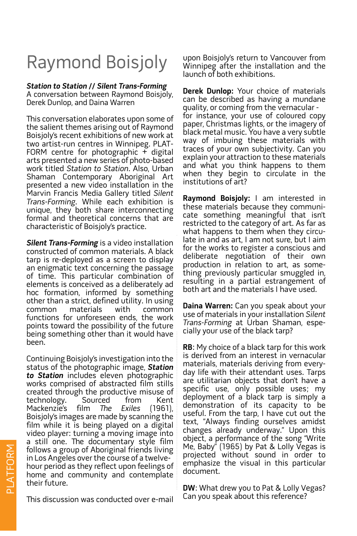## Raymond Boisjoly

## **Station to Station // Silent Trans-Forming**

A conversation between Raymond Boisjoly, Derek Dunlop, and Daina Warren

This conversation elaborates upon some of the salient themes arising out of Raymond Boisjoly's recent exhibitions of new work at two artist-run centres in Winnipeg. PLAT-FORM centre for photographic  $+$  digital arts presented a new series of photo-based work titled Station to Station. Also, Urban Shaman Contemporary Aboriginal Art presented a new video installation in the Marvin Francis Media Gallery titled Silent Trans-Forming. While each exhibition is unique, they both share interconnecting formal and theoretical concerns that are characteristic of Boisjoly's practice.

**Silent Trans-Forming** is a video installation constructed of common materials. A black tarp is re-deployed as a screen to display an enigmatic text concerning the passage of time. This particular combination of elements is conceived as a deliberately ad hoc formation, informed by something other than a strict, defined utility. In using common materials with common functions for unforeseen ends, the work points toward the possibility of the future being something other than it would have been.

Continuing Boisjoly's investigation into the status of the photographic image, **Station to Station** includes eleven photographic works comprised of abstracted film stills created through the productive misuse of<br>technology. Sourced from Kent technology. Sourced Mackenzie's film The Exiles (1961). Boisjoly's images are made by scanning the film while it is being played on a digital video player: turning a moving image into a still one. The documentary style film follows a group of Aboriginal friends living in Los Angeles over the course of a twelvehour period as they reflect upon feelings of home and community and contemplate their future.

This discussion was conducted over e-mail

upon Boisjoly's return to Vancouver from Winnipeg after the installation and the launch of both exhibitions.

**Derek Dunlop:** Your choice of materials can be described as having a mundane quality, or coming from the vernacular for instance, your use of coloured copy paper, Christmas lights, or the imagery of black metal music. You have a very subtle way of imbuing these materials with traces of your own subjectivity. Can you explain your attraction to these materials and what you think happens to them when they begin to circulate in the institutions of art?

**Raymond Boisjoly:** I am interested in these materials because they communicate something meaningful that isn't restricted to the category of art. As far as what happens to them when they circulate in and as art, I am not sure, but I aim for the works to register a conscious and deliberate negotiation of their own production in relation to art, as something previously particular smuggled in, resulting in a partial estrangement of both art and the materials I have used.

**Daina Warren:** Can you speak about your use of materials in your installation Silent Trans-Forming at Urban Shaman, especially your use of the black tarp?

**RB**: My choice of a black tarp for this work is derived from an interest in vernacular materials, materials deriving from everyday life with their attendant uses. Tarps are utilitarian objects that don't have a specific use, only possible uses; my deployment of a black tarp is simply a demonstration of its capacity to be useful. From the tarp, I have cut out the text, "Always finding ourselves amidst changes already underway." Upon this object, a performance of the song "Write Me, Baby" (1965) by Pat & Lolly Vegas is projected without sound in order to emphasize the visual in this particular document.

**DW**: What drew you to Pat & Lolly Vegas? Can you speak about this reference?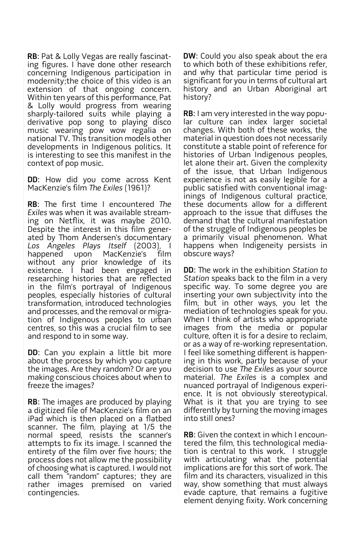**RB**: Pat & Lolly Vegas are really fascinat- ing figures. I have done other research concerning Indigenous participation in modernity;the choice of this video is an extension of that ongoing concern. Within ten years of this performance, Pat & Lolly would progress from wearing sharply-tailored suits while playing a derivative pop song to playing disco music wearing pow wow regalia on national TV. This transition models other developments in Indigenous politics. It is interesting to see this manifest in the context of pop music.

**DD**: How did you come across Kent MacKenzie's film The Exiles (1961)?

**RB**: The first time I encountered The Exiles was when it was available streaming on Netflix, it was maybe 2010. Despite the interest in this film gener-<br>ated by Thom Andersen's documentary Los Angeles Plays Itself (2003), I happened upon MacKenzie's film without any prior knowledge of its existence. I had been engaged in researching histories that are reflected in the film's portrayal of Indigenous peoples, especially histories of cultural transformation, introduced technologies and processes, and the removal or migra- tion of Indigenous peoples to urban centres, so this was a crucial film to see and respond to in some way.

**DD**: Can you explain a little bit more about the process by which you capture the images. Are they random? Or are you making conscious choices about when to freeze the images?

**RB**: The images are produced by playing a digitized file of MacKenzie's film on an iPad which is then placed on a flatbed scanner. The film, playing at  $1/5$  the normal speed, resists the scanner's attempts to fix its image. I scanned the entirety of the film over five hours; the process does not allow me the possibility of choosing what is captured. I would not call them "random" captures; they are rather images premised on varied contingencies.

**DW**: Could you also speak about the era to which both of these exhibitions refer, and why that particular time period is significant for you in terms of cultural art history and an Urban Aboriginal art history?

**RB**: I am very interested in the way popu- lar culture can index larger societal changes. With both of these works, the material in question does not necessarily constitute a stable point of reference for histories of Urban Indigenous peoples, let alone their art. Given the complexity of the issue, that Urban Indigenous experience is not as easily legible for a<br>public satisfied with conventional imaginings of Indigenous cultural practice, these documents allow for a different approach to the issue that diffuses the demand that the cultural manifestation of the struggle of Indigenous peoples be a primarily visual phenomenon. What happens when Indigeneity persists in obscure ways?

**DD**: The work in the exhibition Station to Station speaks back to the film in a very specific way. To some degree you are inserting your own subjectivity into the film, but in other ways, you let the mediation of technologies speak for you. When I think of artists who appropriate images from the media or popular culture, often it is for a desire to reclaim, or as a way of re-working representation. I feel like something different is happen- ing in this work, partly because of your decision to use The Exiles as your source material. The Exiles is a complex and nuanced portrayal of Indigenous experi- ence. It is not obviously stereotypical. What is it that you are trying to see differently by turning the moving images into still ones?

**RB**: Given the context in which I encountered the film, this technological mediation is central to this work. I struggle with articulating what the potential  $i$ mplications are for this sort of work. The film and its characters, visualized in this way, show something that must always evade capture, that remains a fugitive element denying fixity. Work concerning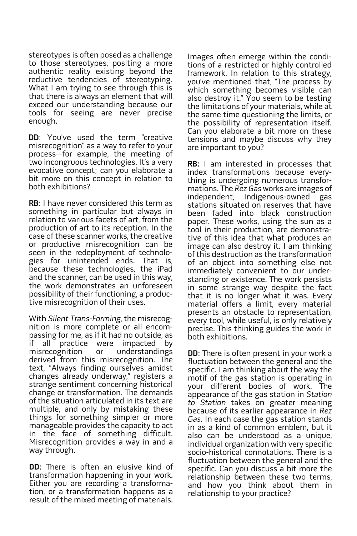stereotypes is often posed as a challenge to those stereotypes, positing a more authentic reality existing beyond the reductive tendencies of stereotyping. What I am trying to see through this is that there is always an element that will exceed our understanding because our tools for seeing are never precise enough.

**DD:** You've used the term "creative misrecognition" as a way to refer to your process—for example, the meeting of two incongruous technologies. It's a very evocative concept; can you elaborate a bit more on this concept in relation to both exhibitions?

**RB**: I have never considered this term as something in particular but always in relation to various facets of art, from the production of art to its reception. In the case of these scanner works, the creative or productive misrecognition can be seen in the redeployment of technolo-<br>gies for unintended ends. That is, because these technologies, the iPad and the scanner, can be used in this way, the work demonstrates an unforeseen possibility of their functioning, a produc- tive misrecognition of their uses.

With Silent Trans-Forming, the misrecognition is more complete or all encom-<br>passing for me, as if it had no outside, as if all practice were impacted by misrecognition or understandings derived from this misrecognition. The text, "Always finding ourselves amidst changes already underway," registers a strange sentiment concerning historical change or transformation. The demands of the situation articulated in its text are multiple, and only by mistaking these things for something simpler or more manageable provides the capacity to act in the face of something difficult. Misrecognition provides a way in and a way through.

**DD**: There is often an elusive kind of transformation happening in your work. Either you are recording a transforma- tion, or a transformation happens as a result of the mixed meeting of materials.

Images often emerge within the condi- tions of a restricted or highly controlled framework. In relation to this strategy, you've mentioned that, "The process by which something becomes visible can also destroy it." You seem to be testing the limitations of your materials, while at the same time questioning the limits, or the possibility of representation itself. Can you elaborate a bit more on these tensions and maybe discuss why they are important to you?

**RB**: I am interested in processes that thing is undergoing numerous transfor-<br>mations. The *Rez Gas* works are images of independent, Indigenous-owned gas stations situated on reserves that have been faded into black construction paper. These works, using the sun as a tool in their production, are demonstra- tive of this idea that what produces an image can also destroy it. I am thinking of this destruction as the transformation of an object into something else not<br>immediately convenient to our understanding or existence. The work persists in some strange way despite the fact that it is no longer what it was. Every material offers a limit, every material presents an obstacle to representation, every tool, while useful, is only relatively precise. This thinking guides the work in both exhibitions.

**DD**: There is often present in your work a fluctuation between the general and the specific. I am thinking about the way the motif of the gas station is operating in your different bodies of work. The appearance of the gas station in Station to Station takes on greater meaning because of its earlier appearance in Rez Gas. In each case the gas station stands in as a kind of common emblem, but it also can be understood as a unique, individual organization with very specific socio-historical connotations. There is a fluctuation between the general and the specific. Can you discuss a bit more the relationship between these two terms, and how you think about them in relationship to your practice?